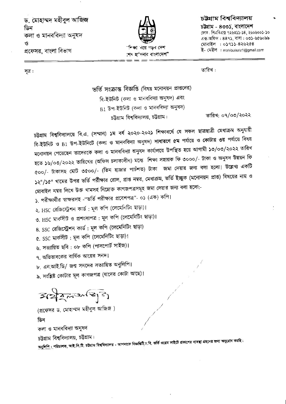ড. মোহাম্মদ মহীবুল আজিজ ডিন কলা ও মানববিদ্যা অনুষদ  $\mathcal{O}$ প্রফেসর, বাংলা বিভাগ



## চউগ্ৰাম বিশ্ববিদ্যালয়

চউষাম - ৪৩৩১, বাংলাদেশ ফোন: পিএবিএক্স ৭২৬৩১১-১৪, ২৬০৬০০১-১০ এক্স-অফিস: ৪৪৭১, বাসা: ০৩১-৬৫৬০৯৯ মোবাইল : ০১৭১১-৪২৬২৫৪ ই- মেইল : mohibulaziz1@gmail.com

সূত্র:

তারিখ :

ভর্তি সংক্রান্ত বিজ্ঞপ্তি (বিষয় মনোনয়ন প্রাপ্তদের) বি-ইউনিট (কলা ও মানববিদ্যা অনুষদ) এবং  $B1$  উপ-ইউনিট (কলা ও মানববিদ্যা অনুষদ) তারিখ: ০৭/০৩/২০২২ চট্টগ্রাম বিশ্ববিদ্যালয়, চট্টগ্রাম।

চট্টগ্রাম বিশ্ববিদ্যালয়ে বি.এ. (সম্মান) ১ম বর্ষ ২০২০-২০২১ শিক্ষাবর্ষে যে সকল ছাত্রছাত্রী মেধাক্রম অনুযায়ী বি-ইউনিট ও B1 উপ-ইউনিটে (কলা ও মানববিদ্যা অনুষদ) সাধারণে ৫ম পর্যায়ে ও কোটায় ৩য় পর্যায়ে বিষয় মনোনয়ন পেয়েছেন তাদেরকে কলা ও মানববিদ্যা অনুষদ কার্যালয়ে উপস্থিত হয়ে আগামী ১৩/০৩/২০২২ তারিখ হতে ১৬/০৩/২০২২ তারিখের (অফিস চলাকালীন) মধ্যে শিক্ষা সহায়ক ফি ৩০০০/- টাকা ও অনুষদ উন্নয়ন ফি ৫০০/- টাকাসহ মোট ৩৫০০/- (তিন হাজার পাচঁশত) টাকা জমা দেয়ার জন্য বলা হলো। উল্লেখ্য একটি ১২"/১৫" খামের উপর ভর্তি পরীক্ষার রোল, প্রাপ্ত নম্বর, মেধাক্রম, ভর্তি ইচ্ছুক (মনোনয়ন প্রাপ্ত) বিষয়ের নাম ও মোবাইল নম্বর লিখে উক্ত খামসহ নিম্নোক্ত কাগজপত্রসমূহ জমা দেয়ার জন্য বলা হলো:-

১. পরীক্ষার্থীর স্বাক্ষরসহ -"ভর্তি পরীক্ষার প্রবেশপত্র"- ০১ (এক) কপি।

২. HSC রেজিস্ট্রেশন কার্ড : মূল কপি (লেমেনিটিং ছাড়া)।

৩. HSC মার্কসীট ও প্রশংসাপত্র : মূল কপি (লেমেনিটিং ছাড়া)।

৪. SSC রেজিস্ট্রেশন কার্ড : মূল কপি (লেমেনিটিং ছাড়া)

৫. SSC মার্কসীট: মূল কপি (লেমেনিটিং ছাড়া)।

৬. সত্যায়িত ছবি : ০৮ কপি (পাসপোর্ট সাইজ)।

৭, অভিভাবকের বার্ষিক আয়ের সনদ।

৮. এন.আই.ডি/ জন্ম সনদের সত্যায়িত অনুলিপি।

৯, সংশ্লিষ্ট কোটার মূল কাগজপত্র (যাদের কোটা আছে)।

 $3222225$ 

(প্রফেসর ড, মোহাম্মদ মহীবুল আজিজ) ডিন কলা ও মানববিদ্যা অনুষদ চট্টগ্রাম বিশ্ববিদ্যালয়, চট্টগ্রাম।

<u>অনুলিপি :</u> পরিচালক, আই.সি.টি. চট্টগ্রাম বিশ্ববিদ্যালয় - আপনাকে বিজ্ঞগুটি<sub>,</sub>চ.বি. ভর্তি ওয়েব সাইটে প্রকালের ব্যবস্থা গ্রহনের জন্য অনুরোধ করছি।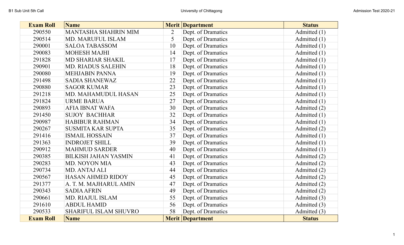| <b>Exam Roll</b> | <b>Name</b>                  |    | <b>Merit Department</b> | <b>Status</b>  |  |
|------------------|------------------------------|----|-------------------------|----------------|--|
| 290550           | MANTASHA SHAHRIN MIM         | 2  | Dept. of Dramatics      | Admitted $(1)$ |  |
| 290514           | MD. MARUFUL ISLAM            | 5  | Dept. of Dramatics      | Admitted $(1)$ |  |
| 290001           | <b>SALOA TABASSOM</b>        | 10 | Dept. of Dramatics      | Admitted $(1)$ |  |
| 290083           | <b>MOHESH MAJHI</b>          | 14 | Dept. of Dramatics      | Admitted (1)   |  |
| 291828           | MD SHARIAR SHAKIL            | 17 | Dept. of Dramatics      | Admitted (1)   |  |
| 290901           | <b>MD. RIADUS SALEHIN</b>    | 18 | Dept. of Dramatics      | Admitted $(1)$ |  |
| 290080           | <b>MEHJABIN PANNA</b>        | 19 | Dept. of Dramatics      | Admitted (1)   |  |
| 291498           | <b>SADIA SHANEWAZ</b>        | 22 | Dept. of Dramatics      | Admitted $(1)$ |  |
| 290880           | <b>SAGOR KUMAR</b>           | 23 | Dept. of Dramatics      | Admitted $(1)$ |  |
| 291218           | MD. MAHAMUDUL HASAN          | 25 | Dept. of Dramatics      | Admitted $(1)$ |  |
| 291824           | <b>URME BARUA</b>            | 27 | Dept. of Dramatics      | Admitted $(1)$ |  |
| 290893           | <b>AFIA IBNAT WAFA</b>       | 30 | Dept. of Dramatics      | Admitted (2)   |  |
| 291450           | <b>SUJOY BACHHAR</b>         | 32 | Dept. of Dramatics      | Admitted $(1)$ |  |
| 290987           | <b>HABIBUR RAHMAN</b>        | 34 | Dept. of Dramatics      | Admitted $(1)$ |  |
| 290267           | <b>SUSMITA KAR SUPTA</b>     | 35 | Dept. of Dramatics      | Admitted $(2)$ |  |
| 291416           | <b>ISMAIL HOSSAIN</b>        | 37 | Dept. of Dramatics      | Admitted $(1)$ |  |
| 291363           | <b>INDROJET SHILL</b>        | 39 | Dept. of Dramatics      | Admitted $(1)$ |  |
| 290912           | <b>MAHMUD SARDER</b>         | 40 | Dept. of Dramatics      | Admitted $(1)$ |  |
| 290385           | <b>BILKISH JAHAN YASMIN</b>  | 41 | Dept. of Dramatics      | Admitted $(2)$ |  |
| 290283           | MD. NOYON MIA                | 43 | Dept. of Dramatics      | Admitted (2)   |  |
| 290734           | MD. ANTAJ ALI                | 44 | Dept. of Dramatics      | Admitted $(2)$ |  |
| 290567           | <b>HASAN AHMED RIDOY</b>     | 45 | Dept. of Dramatics      | Admitted $(2)$ |  |
| 291377           | A. T. M. MAJHARUL AMIN       | 47 | Dept. of Dramatics      | Admitted (2)   |  |
| 290343           | <b>SADIA AFRIN</b>           | 49 | Dept. of Dramatics      | Admitted (2)   |  |
| 290661           | MD. RIAJUL ISLAM             | 55 | Dept. of Dramatics      | Admitted (3)   |  |
| 291610           | <b>ABDUL HAMID</b>           | 56 | Dept. of Dramatics      | Admitted (3)   |  |
| 290533           | <b>SHARIFUL ISLAM SHUVRO</b> | 58 | Dept. of Dramatics      | Admitted (3)   |  |
| <b>Exam Roll</b> | <b>Name</b>                  |    | <b>Merit Department</b> | <b>Status</b>  |  |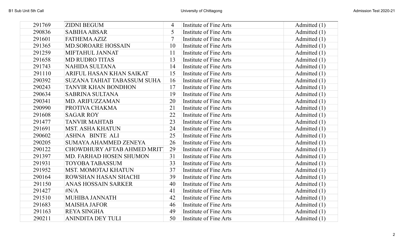| 291769 | <b>ZIDNI BEGUM</b>                 | 4  | Institute of Fine Arts        | Admitted $(1)$ |  |
|--------|------------------------------------|----|-------------------------------|----------------|--|
| 290836 | <b>SABIHA ABSAR</b>                | 5  | Institute of Fine Arts        | Admitted $(1)$ |  |
| 291601 | <b>FATHEMA AZIZ</b>                |    | Institute of Fine Arts        | Admitted (1)   |  |
| 291365 | <b>MD.SOROARE HOSSAIN</b>          | 10 | Institute of Fine Arts        | Admitted $(1)$ |  |
| 291259 | MIFTAHUL JANNAT                    | 11 | Institute of Fine Arts        | Admitted (1)   |  |
| 291658 | <b>MD RUDRO TITAS</b>              | 13 | Institute of Fine Arts        | Admitted (1)   |  |
| 291743 | <b>NAHIDA SULTANA</b>              | 14 | Institute of Fine Arts        | Admitted (1)   |  |
| 291110 | ARIFUL HASAN KHAN SAIKAT           | 15 | Institute of Fine Arts        | Admitted (1)   |  |
| 290392 | SUZANA TAHIAT TABASSUM SUHA        | 16 | Institute of Fine Arts        | Admitted $(1)$ |  |
| 290243 | <b>TANVIR KHAN BONDHON</b>         | 17 | <b>Institute of Fine Arts</b> | Admitted $(1)$ |  |
| 290634 | <b>SABRINA SULTANA</b>             | 19 | Institute of Fine Arts        | Admitted (1)   |  |
| 290341 | MD. ARIFUZZAMAN                    | 20 | Institute of Fine Arts        | Admitted $(1)$ |  |
| 290990 | PROTIVA CHAKMA                     | 21 | Institute of Fine Arts        | Admitted (1)   |  |
| 291608 | <b>SAGAR ROY</b>                   | 22 | Institute of Fine Arts        | Admitted $(1)$ |  |
| 291477 | <b>TANVIR MAHTAB</b>               | 23 | Institute of Fine Arts        | Admitted (1)   |  |
| 291691 | <b>MST. ASHA KHATUN</b>            | 24 | Institute of Fine Arts        | Admitted (1)   |  |
| 290602 | <b>ASHNA BINTE ALI</b>             | 25 | Institute of Fine Arts        | Admitted (1)   |  |
| 290205 | <b>SUMAYA AHAMMED ZENEYA</b>       | 26 | Institute of Fine Arts        | Admitted (1)   |  |
| 290122 | <b>CHOWDHURY AFTAB AHMED MRITT</b> | 29 | Institute of Fine Arts        | Admitted $(1)$ |  |
| 291397 | MD. FARHAD HOSEN SHUMON            | 31 | Institute of Fine Arts        | Admitted (1)   |  |
| 291931 | <b>TOYOBA TABASSUM</b>             | 33 | Institute of Fine Arts        | Admitted $(1)$ |  |
| 291952 | <b>MST. MOMOTAJ KHATUN</b>         | 37 | Institute of Fine Arts        | Admitted (1)   |  |
| 290164 | ROWSHAN HASAN SHACHI               | 39 | Institute of Fine Arts        | Admitted $(1)$ |  |
| 291150 | ANAS HOSSAIN SARKER                | 40 | Institute of Fine Arts        | Admitted (1)   |  |
| 291427 | H N/A                              | 41 | Institute of Fine Arts        | Admitted (1)   |  |
| 291510 | <b>MUHIBA JANNATH</b>              | 42 | Institute of Fine Arts        | Admitted (1)   |  |
| 291683 | <b>MAISHA JAFOR</b>                | 46 | Institute of Fine Arts        | Admitted $(1)$ |  |
| 291163 | <b>REYA SINGHA</b>                 | 49 | Institute of Fine Arts        | Admitted (1)   |  |
| 290211 | <b>ANINDITA DEY TULI</b>           | 50 | Institute of Fine Arts        | Admitted (1)   |  |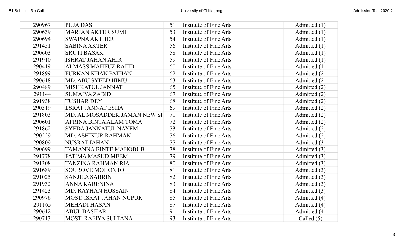| 290967 | <b>PUJA DAS</b>                | 51 | Institute of Fine Arts        | Admitted $(1)$ |  |
|--------|--------------------------------|----|-------------------------------|----------------|--|
| 290639 | MARJAN AKTER SUMI              | 53 | Institute of Fine Arts        | Admitted $(1)$ |  |
| 290694 | <b>SWAPNA AKTHER</b>           | 54 | Institute of Fine Arts        | Admitted (1)   |  |
| 291451 | <b>SABINA AKTER</b>            | 56 | Institute of Fine Arts        | Admitted $(1)$ |  |
| 290603 | <b>SRUTI BASAK</b>             | 58 | Institute of Fine Arts        | Admitted $(1)$ |  |
| 291910 | <b>ISHRAT JAHAN AHIR</b>       | 59 | <b>Institute of Fine Arts</b> | Admitted (1)   |  |
| 290419 | <b>ALMASS MAHFUZ RAFID</b>     | 60 | Institute of Fine Arts        | Admitted (1)   |  |
| 291899 | <b>FURKAN KHAN PATHAN</b>      | 62 | Institute of Fine Arts        | Admitted (2)   |  |
| 290618 | MD. ABU SYEED HIMU             | 63 | Institute of Fine Arts        | Admitted $(2)$ |  |
| 290489 | MISHKATUL JANNAT               | 65 | <b>Institute of Fine Arts</b> | Admitted $(2)$ |  |
| 291144 | <b>SUMAIYA ZABID</b>           | 67 | Institute of Fine Arts        | Admitted $(2)$ |  |
| 291938 | <b>TUSHAR DEY</b>              | 68 | Institute of Fine Arts        | Admitted (2)   |  |
| 290319 | <b>ESRAT JANNAT ESHA</b>       | 69 | Institute of Fine Arts        | Admitted (2)   |  |
| 291803 | MD. AL MOSADDEK JAMAN NEW SH   | 71 | <b>Institute of Fine Arts</b> | Admitted $(2)$ |  |
| 290601 | AFRINA BINTA ALAM TOMA         | 72 | Institute of Fine Arts        | Admitted (2)   |  |
| 291862 | SYEDA JANNATUL NAYEM           | 73 | Institute of Fine Arts        | Admitted $(2)$ |  |
| 290229 | MD. ASHIKUR RAHMAN             | 76 | Institute of Fine Arts        | Admitted (2)   |  |
| 290809 | <b>NUSRAT JAHAN</b>            | 77 | Institute of Fine Arts        | Admitted (3)   |  |
| 290699 | <b>TAMANNA BINTE MAHOBUB</b>   | 78 | Institute of Fine Arts        | Admitted (3)   |  |
| 291778 | <b>FATIMA MASUD MEEM</b>       | 79 | Institute of Fine Arts        | Admitted (3)   |  |
| 291308 | <b>TANZINA RAHMAN RIA</b>      | 80 | Institute of Fine Arts        | Admitted (3)   |  |
| 291689 | <b>SOUROVE MOHONTO</b>         | 81 | Institute of Fine Arts        | Admitted (3)   |  |
| 291025 | <b>SANJILA SABRIN</b>          | 82 | Institute of Fine Arts        | Admitted (3)   |  |
| 291932 | ANNA KARENINA                  | 83 | Institute of Fine Arts        | Admitted (3)   |  |
| 291423 | <b>MD. RAYHAN HOSSAIN</b>      | 84 | Institute of Fine Arts        | Admitted (3)   |  |
| 290976 | <b>MOST. ISRAT JAHAN NUPUR</b> | 85 | Institute of Fine Arts        | Admitted (4)   |  |
| 291165 | <b>MEHADI HASAN</b>            | 87 | Institute of Fine Arts        | Admitted (4)   |  |
| 290612 | <b>ABUL BASHAR</b>             | 91 | Institute of Fine Arts        | Admitted (4)   |  |
| 290713 | <b>MOST. RAFIYA SULTANA</b>    | 93 | Institute of Fine Arts        | Called $(5)$   |  |